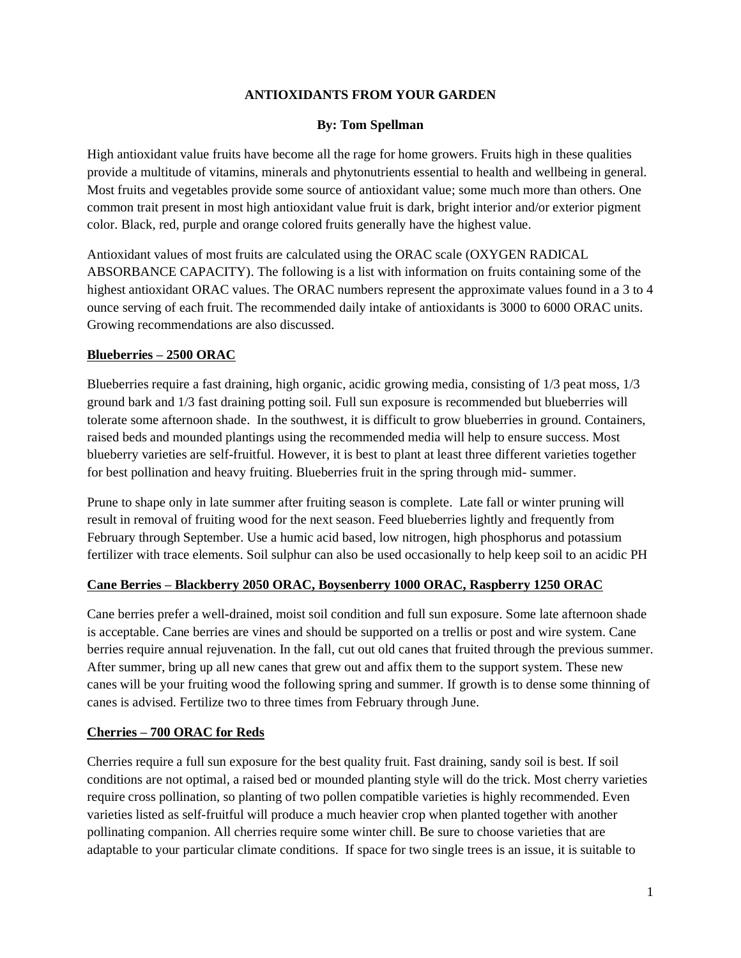#### **ANTIOXIDANTS FROM YOUR GARDEN**

#### **By: Tom Spellman**

High antioxidant value fruits have become all the rage for home growers. Fruits high in these qualities provide a multitude of vitamins, minerals and phytonutrients essential to health and wellbeing in general. Most fruits and vegetables provide some source of antioxidant value; some much more than others. One common trait present in most high antioxidant value fruit is dark, bright interior and/or exterior pigment color. Black, red, purple and orange colored fruits generally have the highest value.

Antioxidant values of most fruits are calculated using the ORAC scale (OXYGEN RADICAL ABSORBANCE CAPACITY). The following is a list with information on fruits containing some of the highest antioxidant ORAC values. The ORAC numbers represent the approximate values found in a 3 to 4 ounce serving of each fruit. The recommended daily intake of antioxidants is 3000 to 6000 ORAC units. Growing recommendations are also discussed.

# **Blueberries – 2500 ORAC**

Blueberries require a fast draining, high organic, acidic growing media, consisting of 1/3 peat moss, 1/3 ground bark and 1/3 fast draining potting soil. Full sun exposure is recommended but blueberries will tolerate some afternoon shade. In the southwest, it is difficult to grow blueberries in ground. Containers, raised beds and mounded plantings using the recommended media will help to ensure success. Most blueberry varieties are self-fruitful. However, it is best to plant at least three different varieties together for best pollination and heavy fruiting. Blueberries fruit in the spring through mid- summer.

Prune to shape only in late summer after fruiting season is complete. Late fall or winter pruning will result in removal of fruiting wood for the next season. Feed blueberries lightly and frequently from February through September. Use a humic acid based, low nitrogen, high phosphorus and potassium fertilizer with trace elements. Soil sulphur can also be used occasionally to help keep soil to an acidic PH

# **Cane Berries – Blackberry 2050 ORAC, Boysenberry 1000 ORAC, Raspberry 1250 ORAC**

Cane berries prefer a well-drained, moist soil condition and full sun exposure. Some late afternoon shade is acceptable. Cane berries are vines and should be supported on a trellis or post and wire system. Cane berries require annual rejuvenation. In the fall, cut out old canes that fruited through the previous summer. After summer, bring up all new canes that grew out and affix them to the support system. These new canes will be your fruiting wood the following spring and summer. If growth is to dense some thinning of canes is advised. Fertilize two to three times from February through June.

# **Cherries – 700 ORAC for Reds**

Cherries require a full sun exposure for the best quality fruit. Fast draining, sandy soil is best. If soil conditions are not optimal, a raised bed or mounded planting style will do the trick. Most cherry varieties require cross pollination, so planting of two pollen compatible varieties is highly recommended. Even varieties listed as self-fruitful will produce a much heavier crop when planted together with another pollinating companion. All cherries require some winter chill. Be sure to choose varieties that are adaptable to your particular climate conditions. If space for two single trees is an issue, it is suitable to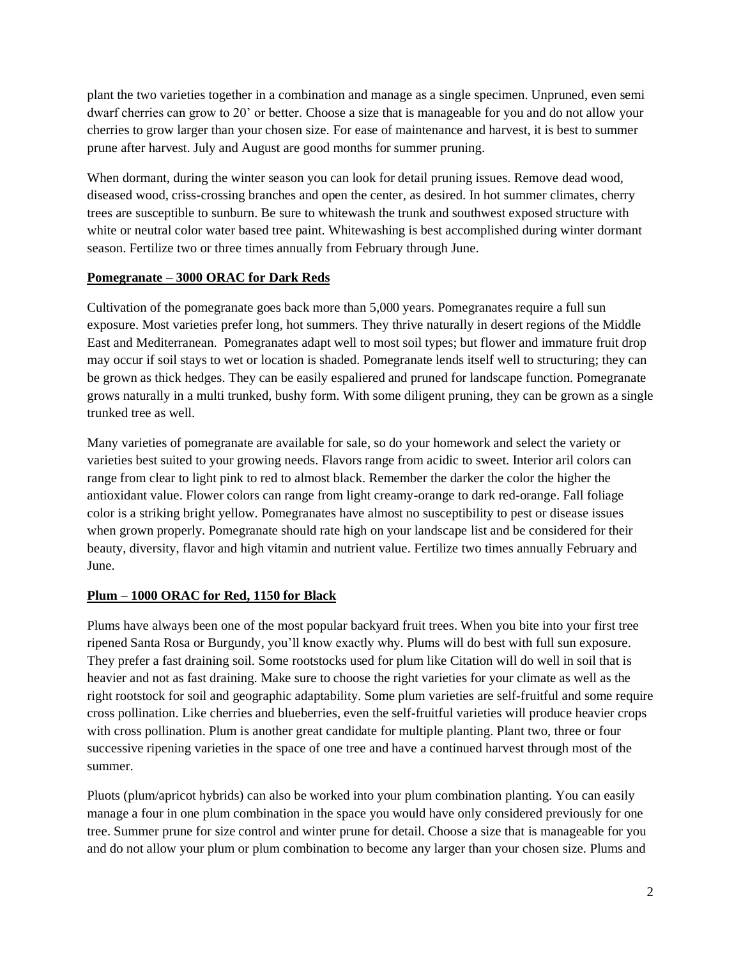plant the two varieties together in a combination and manage as a single specimen. Unpruned, even semi dwarf cherries can grow to 20' or better. Choose a size that is manageable for you and do not allow your cherries to grow larger than your chosen size. For ease of maintenance and harvest, it is best to summer prune after harvest. July and August are good months for summer pruning.

When dormant, during the winter season you can look for detail pruning issues. Remove dead wood, diseased wood, criss-crossing branches and open the center, as desired. In hot summer climates, cherry trees are susceptible to sunburn. Be sure to whitewash the trunk and southwest exposed structure with white or neutral color water based tree paint. Whitewashing is best accomplished during winter dormant season. Fertilize two or three times annually from February through June.

#### **Pomegranate – 3000 ORAC for Dark Reds**

Cultivation of the pomegranate goes back more than 5,000 years. Pomegranates require a full sun exposure. Most varieties prefer long, hot summers. They thrive naturally in desert regions of the Middle East and Mediterranean. Pomegranates adapt well to most soil types; but flower and immature fruit drop may occur if soil stays to wet or location is shaded. Pomegranate lends itself well to structuring; they can be grown as thick hedges. They can be easily espaliered and pruned for landscape function. Pomegranate grows naturally in a multi trunked, bushy form. With some diligent pruning, they can be grown as a single trunked tree as well.

Many varieties of pomegranate are available for sale, so do your homework and select the variety or varieties best suited to your growing needs. Flavors range from acidic to sweet. Interior aril colors can range from clear to light pink to red to almost black. Remember the darker the color the higher the antioxidant value. Flower colors can range from light creamy-orange to dark red-orange. Fall foliage color is a striking bright yellow. Pomegranates have almost no susceptibility to pest or disease issues when grown properly. Pomegranate should rate high on your landscape list and be considered for their beauty, diversity, flavor and high vitamin and nutrient value. Fertilize two times annually February and June.

# **Plum – 1000 ORAC for Red, 1150 for Black**

Plums have always been one of the most popular backyard fruit trees. When you bite into your first tree ripened Santa Rosa or Burgundy, you'll know exactly why. Plums will do best with full sun exposure. They prefer a fast draining soil. Some rootstocks used for plum like Citation will do well in soil that is heavier and not as fast draining. Make sure to choose the right varieties for your climate as well as the right rootstock for soil and geographic adaptability. Some plum varieties are self-fruitful and some require cross pollination. Like cherries and blueberries, even the self-fruitful varieties will produce heavier crops with cross pollination. Plum is another great candidate for multiple planting. Plant two, three or four successive ripening varieties in the space of one tree and have a continued harvest through most of the summer.

Pluots (plum/apricot hybrids) can also be worked into your plum combination planting. You can easily manage a four in one plum combination in the space you would have only considered previously for one tree. Summer prune for size control and winter prune for detail. Choose a size that is manageable for you and do not allow your plum or plum combination to become any larger than your chosen size. Plums and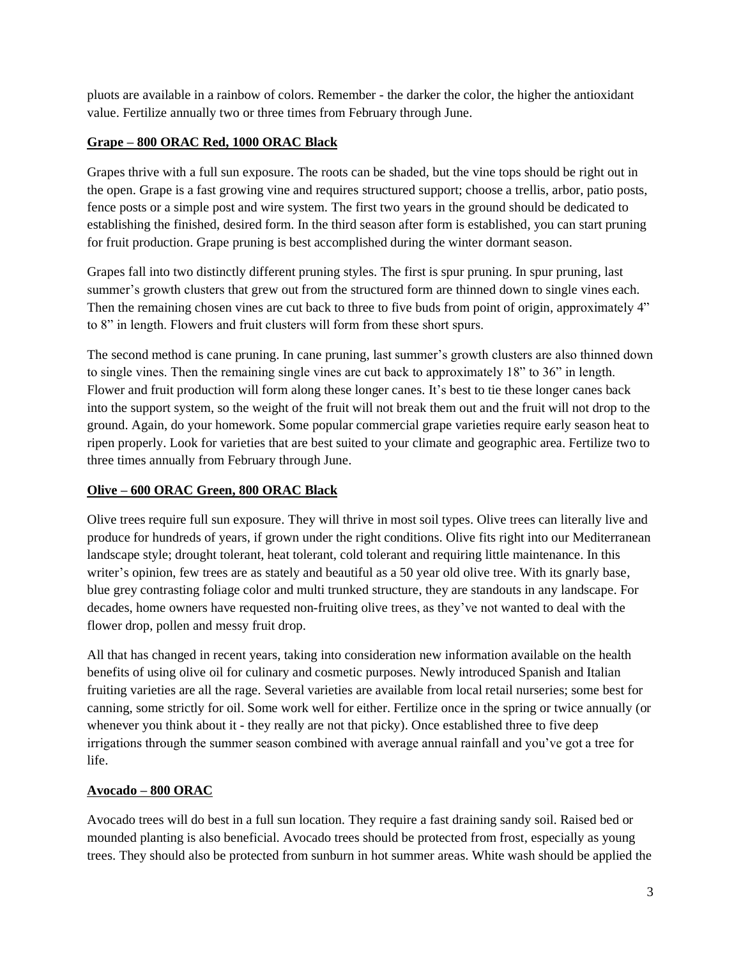pluots are available in a rainbow of colors. Remember - the darker the color, the higher the antioxidant value. Fertilize annually two or three times from February through June.

# **Grape – 800 ORAC Red, 1000 ORAC Black**

Grapes thrive with a full sun exposure. The roots can be shaded, but the vine tops should be right out in the open. Grape is a fast growing vine and requires structured support; choose a trellis, arbor, patio posts, fence posts or a simple post and wire system. The first two years in the ground should be dedicated to establishing the finished, desired form. In the third season after form is established, you can start pruning for fruit production. Grape pruning is best accomplished during the winter dormant season.

Grapes fall into two distinctly different pruning styles. The first is spur pruning. In spur pruning, last summer's growth clusters that grew out from the structured form are thinned down to single vines each. Then the remaining chosen vines are cut back to three to five buds from point of origin, approximately 4" to 8" in length. Flowers and fruit clusters will form from these short spurs.

The second method is cane pruning. In cane pruning, last summer's growth clusters are also thinned down to single vines. Then the remaining single vines are cut back to approximately 18" to 36" in length. Flower and fruit production will form along these longer canes. It's best to tie these longer canes back into the support system, so the weight of the fruit will not break them out and the fruit will not drop to the ground. Again, do your homework. Some popular commercial grape varieties require early season heat to ripen properly. Look for varieties that are best suited to your climate and geographic area. Fertilize two to three times annually from February through June.

# **Olive – 600 ORAC Green, 800 ORAC Black**

Olive trees require full sun exposure. They will thrive in most soil types. Olive trees can literally live and produce for hundreds of years, if grown under the right conditions. Olive fits right into our Mediterranean landscape style; drought tolerant, heat tolerant, cold tolerant and requiring little maintenance. In this writer's opinion, few trees are as stately and beautiful as a 50 year old olive tree. With its gnarly base, blue grey contrasting foliage color and multi trunked structure, they are standouts in any landscape. For decades, home owners have requested non-fruiting olive trees, as they've not wanted to deal with the flower drop, pollen and messy fruit drop.

All that has changed in recent years, taking into consideration new information available on the health benefits of using olive oil for culinary and cosmetic purposes. Newly introduced Spanish and Italian fruiting varieties are all the rage. Several varieties are available from local retail nurseries; some best for canning, some strictly for oil. Some work well for either. Fertilize once in the spring or twice annually (or whenever you think about it - they really are not that picky). Once established three to five deep irrigations through the summer season combined with average annual rainfall and you've got a tree for life.

# **Avocado – 800 ORAC**

Avocado trees will do best in a full sun location. They require a fast draining sandy soil. Raised bed or mounded planting is also beneficial. Avocado trees should be protected from frost, especially as young trees. They should also be protected from sunburn in hot summer areas. White wash should be applied the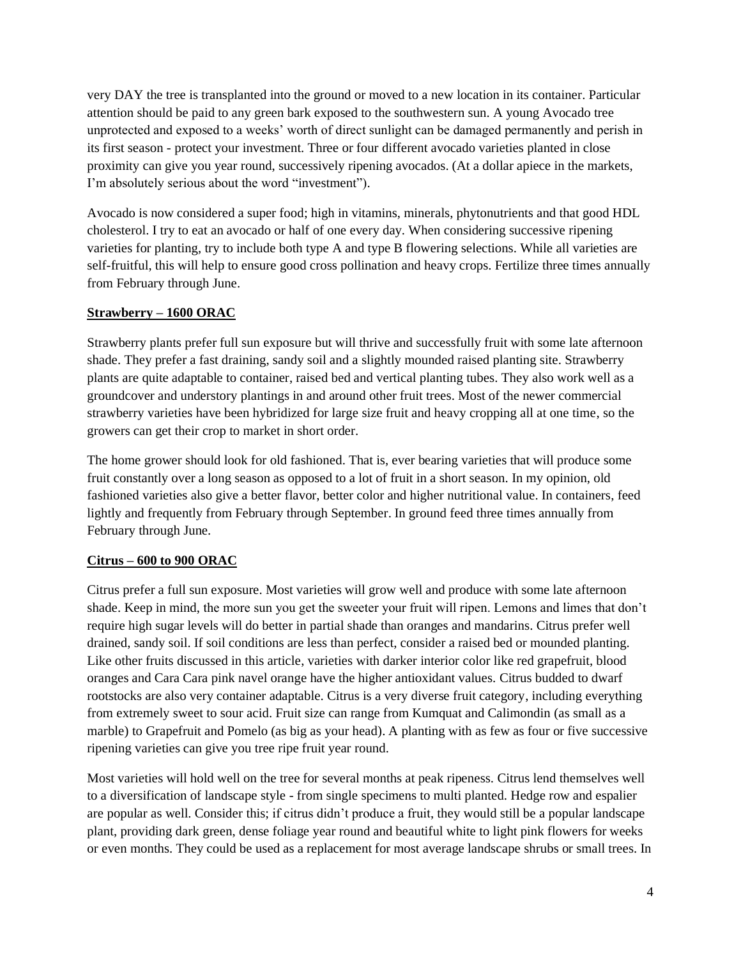very DAY the tree is transplanted into the ground or moved to a new location in its container. Particular attention should be paid to any green bark exposed to the southwestern sun. A young Avocado tree unprotected and exposed to a weeks' worth of direct sunlight can be damaged permanently and perish in its first season - protect your investment. Three or four different avocado varieties planted in close proximity can give you year round, successively ripening avocados. (At a dollar apiece in the markets, I'm absolutely serious about the word "investment").

Avocado is now considered a super food; high in vitamins, minerals, phytonutrients and that good HDL cholesterol. I try to eat an avocado or half of one every day. When considering successive ripening varieties for planting, try to include both type A and type B flowering selections. While all varieties are self-fruitful, this will help to ensure good cross pollination and heavy crops. Fertilize three times annually from February through June.

# **Strawberry – 1600 ORAC**

Strawberry plants prefer full sun exposure but will thrive and successfully fruit with some late afternoon shade. They prefer a fast draining, sandy soil and a slightly mounded raised planting site. Strawberry plants are quite adaptable to container, raised bed and vertical planting tubes. They also work well as a groundcover and understory plantings in and around other fruit trees. Most of the newer commercial strawberry varieties have been hybridized for large size fruit and heavy cropping all at one time, so the growers can get their crop to market in short order.

The home grower should look for old fashioned. That is, ever bearing varieties that will produce some fruit constantly over a long season as opposed to a lot of fruit in a short season. In my opinion, old fashioned varieties also give a better flavor, better color and higher nutritional value. In containers, feed lightly and frequently from February through September. In ground feed three times annually from February through June.

# **Citrus – 600 to 900 ORAC**

Citrus prefer a full sun exposure. Most varieties will grow well and produce with some late afternoon shade. Keep in mind, the more sun you get the sweeter your fruit will ripen. Lemons and limes that don't require high sugar levels will do better in partial shade than oranges and mandarins. Citrus prefer well drained, sandy soil. If soil conditions are less than perfect, consider a raised bed or mounded planting. Like other fruits discussed in this article, varieties with darker interior color like red grapefruit, blood oranges and Cara Cara pink navel orange have the higher antioxidant values. Citrus budded to dwarf rootstocks are also very container adaptable. Citrus is a very diverse fruit category, including everything from extremely sweet to sour acid. Fruit size can range from Kumquat and Calimondin (as small as a marble) to Grapefruit and Pomelo (as big as your head). A planting with as few as four or five successive ripening varieties can give you tree ripe fruit year round.

Most varieties will hold well on the tree for several months at peak ripeness. Citrus lend themselves well to a diversification of landscape style - from single specimens to multi planted. Hedge row and espalier are popular as well. Consider this; if citrus didn't produce a fruit, they would still be a popular landscape plant, providing dark green, dense foliage year round and beautiful white to light pink flowers for weeks or even months. They could be used as a replacement for most average landscape shrubs or small trees. In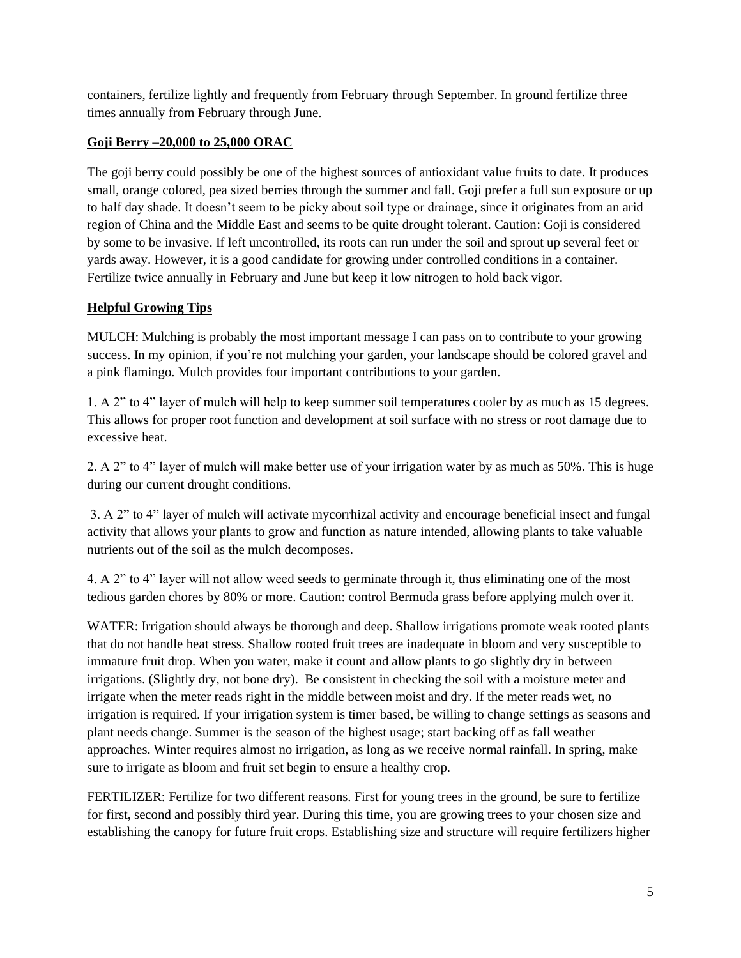containers, fertilize lightly and frequently from February through September. In ground fertilize three times annually from February through June.

# **Goji Berry –20,000 to 25,000 ORAC**

The goji berry could possibly be one of the highest sources of antioxidant value fruits to date. It produces small, orange colored, pea sized berries through the summer and fall. Goji prefer a full sun exposure or up to half day shade. It doesn't seem to be picky about soil type or drainage, since it originates from an arid region of China and the Middle East and seems to be quite drought tolerant. Caution: Goji is considered by some to be invasive. If left uncontrolled, its roots can run under the soil and sprout up several feet or yards away. However, it is a good candidate for growing under controlled conditions in a container. Fertilize twice annually in February and June but keep it low nitrogen to hold back vigor.

# **Helpful Growing Tips**

MULCH: Mulching is probably the most important message I can pass on to contribute to your growing success. In my opinion, if you're not mulching your garden, your landscape should be colored gravel and a pink flamingo. Mulch provides four important contributions to your garden.

1. A 2" to 4" layer of mulch will help to keep summer soil temperatures cooler by as much as 15 degrees. This allows for proper root function and development at soil surface with no stress or root damage due to excessive heat.

2. A 2" to 4" layer of mulch will make better use of your irrigation water by as much as 50%. This is huge during our current drought conditions.

3. A 2" to 4" layer of mulch will activate mycorrhizal activity and encourage beneficial insect and fungal activity that allows your plants to grow and function as nature intended, allowing plants to take valuable nutrients out of the soil as the mulch decomposes.

4. A 2" to 4" layer will not allow weed seeds to germinate through it, thus eliminating one of the most tedious garden chores by 80% or more. Caution: control Bermuda grass before applying mulch over it.

WATER: Irrigation should always be thorough and deep. Shallow irrigations promote weak rooted plants that do not handle heat stress. Shallow rooted fruit trees are inadequate in bloom and very susceptible to immature fruit drop. When you water, make it count and allow plants to go slightly dry in between irrigations. (Slightly dry, not bone dry). Be consistent in checking the soil with a moisture meter and irrigate when the meter reads right in the middle between moist and dry. If the meter reads wet, no irrigation is required. If your irrigation system is timer based, be willing to change settings as seasons and plant needs change. Summer is the season of the highest usage; start backing off as fall weather approaches. Winter requires almost no irrigation, as long as we receive normal rainfall. In spring, make sure to irrigate as bloom and fruit set begin to ensure a healthy crop.

FERTILIZER: Fertilize for two different reasons. First for young trees in the ground, be sure to fertilize for first, second and possibly third year. During this time, you are growing trees to your chosen size and establishing the canopy for future fruit crops. Establishing size and structure will require fertilizers higher